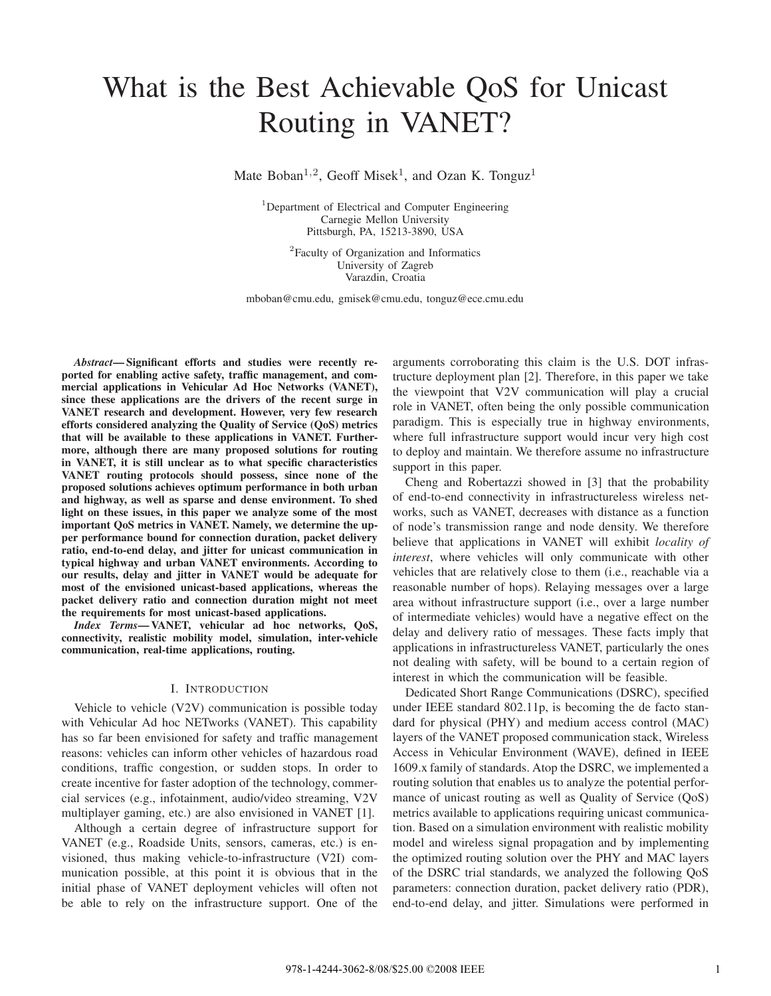# What is the Best Achievable QoS for Unicast Routing in VANET?

Mate Boban<sup>1,2</sup>, Geoff Misek<sup>1</sup>, and Ozan K. Tonguz<sup>1</sup>

<sup>1</sup>Department of Electrical and Computer Engineering Carnegie Mellon University Pittsburgh, PA, 15213-3890, USA

> <sup>2</sup>Faculty of Organization and Informatics University of Zagreb Varazdin, Croatia

mboban@cmu.edu, gmisek@cmu.edu, tonguz@ece.cmu.edu

*Abstract***— Significant efforts and studies were recently reported for enabling active safety, traffic management, and commercial applications in Vehicular Ad Hoc Networks (VANET), since these applications are the drivers of the recent surge in VANET research and development. However, very few research efforts considered analyzing the Quality of Service (QoS) metrics that will be available to these applications in VANET. Furthermore, although there are many proposed solutions for routing in VANET, it is still unclear as to what specific characteristics VANET routing protocols should possess, since none of the proposed solutions achieves optimum performance in both urban and highway, as well as sparse and dense environment. To shed light on these issues, in this paper we analyze some of the most important QoS metrics in VANET. Namely, we determine the upper performance bound for connection duration, packet delivery ratio, end-to-end delay, and jitter for unicast communication in typical highway and urban VANET environments. According to our results, delay and jitter in VANET would be adequate for most of the envisioned unicast-based applications, whereas the packet delivery ratio and connection duration might not meet the requirements for most unicast-based applications.**

*Index Terms***— VANET, vehicular ad hoc networks, QoS, connectivity, realistic mobility model, simulation, inter-vehicle communication, real-time applications, routing.**

## I. INTRODUCTION

Vehicle to vehicle (V2V) communication is possible today with Vehicular Ad hoc NETworks (VANET). This capability has so far been envisioned for safety and traffic management reasons: vehicles can inform other vehicles of hazardous road conditions, traffic congestion, or sudden stops. In order to create incentive for faster adoption of the technology, commercial services (e.g., infotainment, audio/video streaming, V2V multiplayer gaming, etc.) are also envisioned in VANET [1].

Although a certain degree of infrastructure support for VANET (e.g., Roadside Units, sensors, cameras, etc.) is envisioned, thus making vehicle-to-infrastructure (V2I) communication possible, at this point it is obvious that in the initial phase of VANET deployment vehicles will often not be able to rely on the infrastructure support. One of the arguments corroborating this claim is the U.S. DOT infrastructure deployment plan [2]. Therefore, in this paper we take the viewpoint that V2V communication will play a crucial role in VANET, often being the only possible communication paradigm. This is especially true in highway environments, where full infrastructure support would incur very high cost to deploy and maintain. We therefore assume no infrastructure support in this paper.

Cheng and Robertazzi showed in [3] that the probability of end-to-end connectivity in infrastructureless wireless networks, such as VANET, decreases with distance as a function of node's transmission range and node density. We therefore believe that applications in VANET will exhibit *locality of interest*, where vehicles will only communicate with other vehicles that are relatively close to them (i.e., reachable via a reasonable number of hops). Relaying messages over a large area without infrastructure support (i.e., over a large number of intermediate vehicles) would have a negative effect on the delay and delivery ratio of messages. These facts imply that applications in infrastructureless VANET, particularly the ones not dealing with safety, will be bound to a certain region of interest in which the communication will be feasible.

Dedicated Short Range Communications (DSRC), specified under IEEE standard 802.11p, is becoming the de facto standard for physical (PHY) and medium access control (MAC) layers of the VANET proposed communication stack, Wireless Access in Vehicular Environment (WAVE), defined in IEEE 1609.x family of standards. Atop the DSRC, we implemented a routing solution that enables us to analyze the potential performance of unicast routing as well as Quality of Service (QoS) metrics available to applications requiring unicast communication. Based on a simulation environment with realistic mobility model and wireless signal propagation and by implementing the optimized routing solution over the PHY and MAC layers of the DSRC trial standards, we analyzed the following QoS parameters: connection duration, packet delivery ratio (PDR), end-to-end delay, and jitter. Simulations were performed in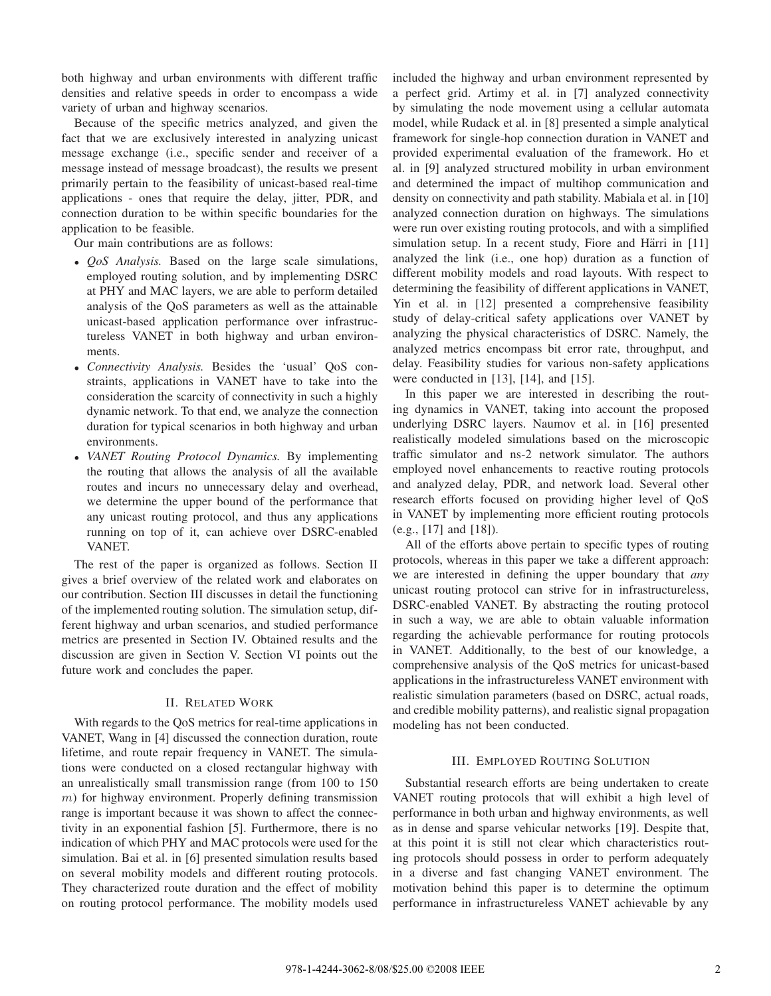both highway and urban environments with different traffic densities and relative speeds in order to encompass a wide variety of urban and highway scenarios.

Because of the specific metrics analyzed, and given the fact that we are exclusively interested in analyzing unicast message exchange (i.e., specific sender and receiver of a message instead of message broadcast), the results we present primarily pertain to the feasibility of unicast-based real-time applications - ones that require the delay, jitter, PDR, and connection duration to be within specific boundaries for the application to be feasible.

Our main contributions are as follows:

- *QoS Analysis.* Based on the large scale simulations, employed routing solution, and by implementing DSRC at PHY and MAC layers, we are able to perform detailed analysis of the QoS parameters as well as the attainable unicast-based application performance over infrastructureless VANET in both highway and urban environments.
- *Connectivity Analysis.* Besides the 'usual' QoS constraints, applications in VANET have to take into the consideration the scarcity of connectivity in such a highly dynamic network. To that end, we analyze the connection duration for typical scenarios in both highway and urban environments.
- *VANET Routing Protocol Dynamics.* By implementing the routing that allows the analysis of all the available routes and incurs no unnecessary delay and overhead, we determine the upper bound of the performance that any unicast routing protocol, and thus any applications running on top of it, can achieve over DSRC-enabled VANET.

The rest of the paper is organized as follows. Section II gives a brief overview of the related work and elaborates on our contribution. Section III discusses in detail the functioning of the implemented routing solution. The simulation setup, different highway and urban scenarios, and studied performance metrics are presented in Section IV. Obtained results and the discussion are given in Section V. Section VI points out the future work and concludes the paper.

## II. RELATED WORK

With regards to the QoS metrics for real-time applications in VANET, Wang in [4] discussed the connection duration, route lifetime, and route repair frequency in VANET. The simulations were conducted on a closed rectangular highway with an unrealistically small transmission range (from 100 to 150  $m$ ) for highway environment. Properly defining transmission range is important because it was shown to affect the connectivity in an exponential fashion [5]. Furthermore, there is no indication of which PHY and MAC protocols were used for the simulation. Bai et al. in [6] presented simulation results based on several mobility models and different routing protocols. They characterized route duration and the effect of mobility on routing protocol performance. The mobility models used

included the highway and urban environment represented by a perfect grid. Artimy et al. in [7] analyzed connectivity by simulating the node movement using a cellular automata model, while Rudack et al. in [8] presented a simple analytical framework for single-hop connection duration in VANET and provided experimental evaluation of the framework. Ho et al. in [9] analyzed structured mobility in urban environment and determined the impact of multihop communication and density on connectivity and path stability. Mabiala et al. in [10] analyzed connection duration on highways. The simulations were run over existing routing protocols, and with a simplified simulation setup. In a recent study, Fiore and Härri in [11] analyzed the link (i.e., one hop) duration as a function of different mobility models and road layouts. With respect to determining the feasibility of different applications in VANET, Yin et al. in [12] presented a comprehensive feasibility study of delay-critical safety applications over VANET by analyzing the physical characteristics of DSRC. Namely, the analyzed metrics encompass bit error rate, throughput, and delay. Feasibility studies for various non-safety applications were conducted in  $[13]$ ,  $[14]$ , and  $[15]$ .

In this paper we are interested in describing the routing dynamics in VANET, taking into account the proposed underlying DSRC layers. Naumov et al. in [16] presented realistically modeled simulations based on the microscopic traffic simulator and ns-2 network simulator. The authors employed novel enhancements to reactive routing protocols and analyzed delay, PDR, and network load. Several other research efforts focused on providing higher level of QoS in VANET by implementing more efficient routing protocols (e.g., [17] and [18]).

All of the efforts above pertain to specific types of routing protocols, whereas in this paper we take a different approach: we are interested in defining the upper boundary that *any* unicast routing protocol can strive for in infrastructureless, DSRC-enabled VANET. By abstracting the routing protocol in such a way, we are able to obtain valuable information regarding the achievable performance for routing protocols in VANET. Additionally, to the best of our knowledge, a comprehensive analysis of the QoS metrics for unicast-based applications in the infrastructureless VANET environment with realistic simulation parameters (based on DSRC, actual roads, and credible mobility patterns), and realistic signal propagation modeling has not been conducted.

# III. EMPLOYED ROUTING SOLUTION

Substantial research efforts are being undertaken to create VANET routing protocols that will exhibit a high level of performance in both urban and highway environments, as well as in dense and sparse vehicular networks [19]. Despite that, at this point it is still not clear which characteristics routing protocols should possess in order to perform adequately in a diverse and fast changing VANET environment. The motivation behind this paper is to determine the optimum performance in infrastructureless VANET achievable by any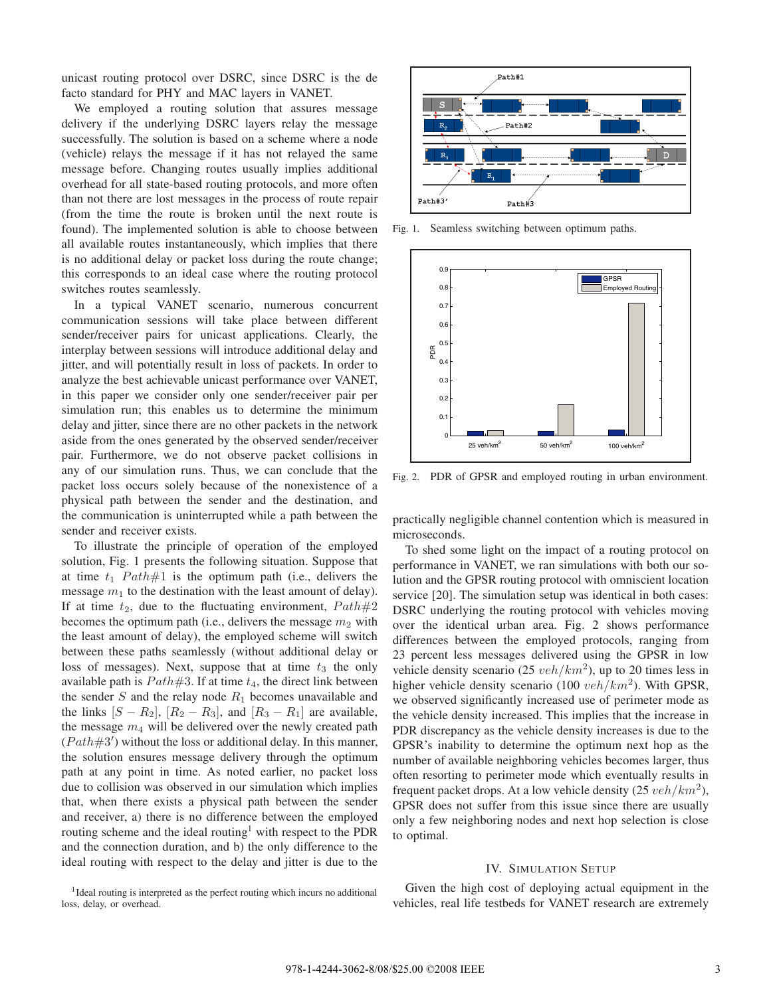unicast routing protocol over DSRC, since DSRC is the de facto standard for PHY and MAC layers in VANET.

We employed a routing solution that assures message delivery if the underlying DSRC layers relay the message successfully. The solution is based on a scheme where a node (vehicle) relays the message if it has not relayed the same message before. Changing routes usually implies additional overhead for all state-based routing protocols, and more often than not there are lost messages in the process of route repair (from the time the route is broken until the next route is found). The implemented solution is able to choose between all available routes instantaneously, which implies that there is no additional delay or packet loss during the route change; this corresponds to an ideal case where the routing protocol switches routes seamlessly.

In a typical VANET scenario, numerous concurrent communication sessions will take place between different sender/receiver pairs for unicast applications. Clearly, the interplay between sessions will introduce additional delay and jitter, and will potentially result in loss of packets. In order to analyze the best achievable unicast performance over VANET, in this paper we consider only one sender/receiver pair per simulation run; this enables us to determine the minimum delay and jitter, since there are no other packets in the network aside from the ones generated by the observed sender/receiver pair. Furthermore, we do not observe packet collisions in any of our simulation runs. Thus, we can conclude that the packet loss occurs solely because of the nonexistence of a physical path between the sender and the destination, and the communication is uninterrupted while a path between the sender and receiver exists.

To illustrate the principle of operation of the employed solution, Fig. 1 presents the following situation. Suppose that at time  $t_1$  Path#1 is the optimum path (i.e., delivers the message  $m_1$  to the destination with the least amount of delay). If at time  $t_2$ , due to the fluctuating environment,  $Path#2$ becomes the optimum path (i.e., delivers the message  $m_2$  with the least amount of delay), the employed scheme will switch between these paths seamlessly (without additional delay or loss of messages). Next, suppose that at time  $t_3$  the only available path is  $Path \#3$ . If at time  $t_4$ , the direct link between the sender  $S$  and the relay node  $R_1$  becomes unavailable and the links  $[S - R_2]$ ,  $[R_2 - R_3]$ , and  $[R_3 - R_1]$  are available, the message  $m_4$  will be delivered over the newly created path  $(Path#3<sup>'</sup>)$  without the loss or additional delay. In this manner,<br>the solution ensures message delivery through the ontimum the solution ensures message delivery through the optimum path at any point in time. As noted earlier, no packet loss due to collision was observed in our simulation which implies that, when there exists a physical path between the sender and receiver, a) there is no difference between the employed routing scheme and the ideal routing<sup>1</sup> with respect to the PDR and the connection duration, and b) the only difference to the ideal routing with respect to the delay and jitter is due to the





Fig. 1. Seamless switching between optimum paths.



Fig. 2. PDR of GPSR and employed routing in urban environment.

practically negligible channel contention which is measured in microseconds.

To shed some light on the impact of a routing protocol on performance in VANET, we ran simulations with both our solution and the GPSR routing protocol with omniscient location service [20]. The simulation setup was identical in both cases: DSRC underlying the routing protocol with vehicles moving over the identical urban area. Fig. 2 shows performance differences between the employed protocols, ranging from 23 percent less messages delivered using the GPSR in low vehicle density scenario (25  $veh/km^2$ ), up to 20 times less in higher vehicle density scenario (100  $veh/km^2$ ). With GPSR, we observed significantly increased use of perimeter mode as the vehicle density increased. This implies that the increase in PDR discrepancy as the vehicle density increases is due to the GPSR's inability to determine the optimum next hop as the number of available neighboring vehicles becomes larger, thus often resorting to perimeter mode which eventually results in frequent packet drops. At a low vehicle density (25  $veh/km^2$ ), GPSR does not suffer from this issue since there are usually only a few neighboring nodes and next hop selection is close to optimal.

#### IV. SIMULATION SETUP

Given the high cost of deploying actual equipment in the vehicles, real life testbeds for VANET research are extremely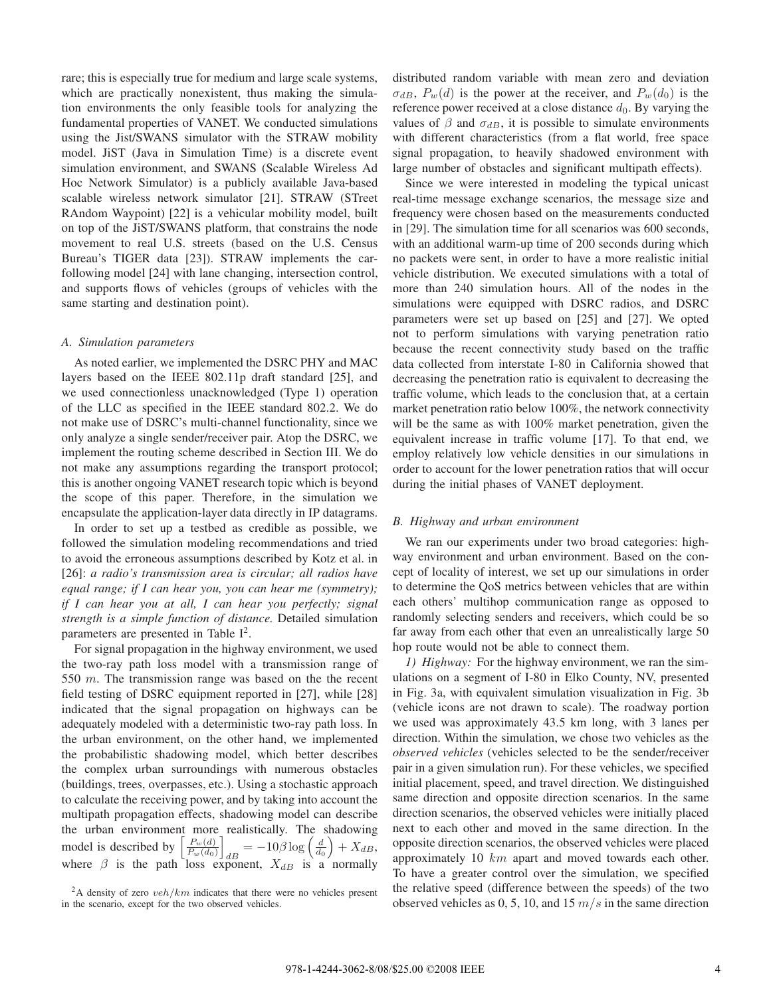rare; this is especially true for medium and large scale systems, which are practically nonexistent, thus making the simulation environments the only feasible tools for analyzing the fundamental properties of VANET. We conducted simulations using the Jist/SWANS simulator with the STRAW mobility model. JiST (Java in Simulation Time) is a discrete event simulation environment, and SWANS (Scalable Wireless Ad Hoc Network Simulator) is a publicly available Java-based scalable wireless network simulator [21]. STRAW (STreet RAndom Waypoint) [22] is a vehicular mobility model, built on top of the JiST/SWANS platform, that constrains the node movement to real U.S. streets (based on the U.S. Census Bureau's TIGER data [23]). STRAW implements the carfollowing model [24] with lane changing, intersection control, and supports flows of vehicles (groups of vehicles with the same starting and destination point).

## *A. Simulation parameters*

As noted earlier, we implemented the DSRC PHY and MAC layers based on the IEEE 802.11p draft standard [25], and we used connectionless unacknowledged (Type 1) operation of the LLC as specified in the IEEE standard 802.2. We do not make use of DSRC's multi-channel functionality, since we only analyze a single sender/receiver pair. Atop the DSRC, we implement the routing scheme described in Section III. We do not make any assumptions regarding the transport protocol; this is another ongoing VANET research topic which is beyond the scope of this paper. Therefore, in the simulation we encapsulate the application-layer data directly in IP datagrams.

In order to set up a testbed as credible as possible, we followed the simulation modeling recommendations and tried to avoid the erroneous assumptions described by Kotz et al. in [26]: *a radio's transmission area is circular; all radios have equal range; if I can hear you, you can hear me (symmetry); if I can hear you at all, I can hear you perfectly; signal strength is a simple function of distance.* Detailed simulation parameters are presented in Table  $I^2$ .

For signal propagation in the highway environment, we used the two-ray path loss model with a transmission range of 550 m. The transmission range was based on the the recent field testing of DSRC equipment reported in [27], while [28] indicated that the signal propagation on highways can be adequately modeled with a deterministic two-ray path loss. In the urban environment, on the other hand, we implemented the probabilistic shadowing model, which better describes the complex urban surroundings with numerous obstacles (buildings, trees, overpasses, etc.). Using a stochastic approach to calculate the receiving power, and by taking into account the multipath propagation effects, shadowing model can describe the urban environment more realistically. The shadowing model is described by  $\left[\frac{P_w(d)}{P_d(d_0)}\right]$ model is described by  $\left[\frac{P_w(d)}{P_w(d_0)}\right]_{dB} = -10\beta \log\left(\frac{d}{d_0}\right) + X_{dB}$ , where  $\beta$  is the path loss exponent,  $X_{dB}$  is a normally distributed random variable with mean zero and deviation  $\sigma_{dB}$ ,  $P_w(d)$  is the power at the receiver, and  $P_w(d_0)$  is the reference power received at a close distance  $d_0$ . By varying the values of  $\beta$  and  $\sigma_{dB}$ , it is possible to simulate environments with different characteristics (from a flat world, free space signal propagation, to heavily shadowed environment with large number of obstacles and significant multipath effects).

Since we were interested in modeling the typical unicast real-time message exchange scenarios, the message size and frequency were chosen based on the measurements conducted in [29]. The simulation time for all scenarios was 600 seconds, with an additional warm-up time of 200 seconds during which no packets were sent, in order to have a more realistic initial vehicle distribution. We executed simulations with a total of more than 240 simulation hours. All of the nodes in the simulations were equipped with DSRC radios, and DSRC parameters were set up based on [25] and [27]. We opted not to perform simulations with varying penetration ratio because the recent connectivity study based on the traffic data collected from interstate I-80 in California showed that decreasing the penetration ratio is equivalent to decreasing the traffic volume, which leads to the conclusion that, at a certain market penetration ratio below 100%, the network connectivity will be the same as with  $100\%$  market penetration, given the equivalent increase in traffic volume [17]. To that end, we employ relatively low vehicle densities in our simulations in order to account for the lower penetration ratios that will occur during the initial phases of VANET deployment.

## *B. Highway and urban environment*

We ran our experiments under two broad categories: highway environment and urban environment. Based on the concept of locality of interest, we set up our simulations in order to determine the QoS metrics between vehicles that are within each others' multihop communication range as opposed to randomly selecting senders and receivers, which could be so far away from each other that even an unrealistically large 50 hop route would not be able to connect them.

*1) Highway:* For the highway environment, we ran the simulations on a segment of I-80 in Elko County, NV, presented in Fig. 3a, with equivalent simulation visualization in Fig. 3b (vehicle icons are not drawn to scale). The roadway portion we used was approximately 43.5 km long, with 3 lanes per direction. Within the simulation, we chose two vehicles as the *observed vehicles* (vehicles selected to be the sender/receiver pair in a given simulation run). For these vehicles, we specified initial placement, speed, and travel direction. We distinguished same direction and opposite direction scenarios. In the same direction scenarios, the observed vehicles were initially placed next to each other and moved in the same direction. In the opposite direction scenarios, the observed vehicles were placed approximately 10 km apart and moved towards each other. To have a greater control over the simulation, we specified the relative speed (difference between the speeds) of the two observed vehicles as 0, 5, 10, and 15  $m/s$  in the same direction

 $2A$  density of zero  $veh/km$  indicates that there were no vehicles present in the scenario, except for the two observed vehicles.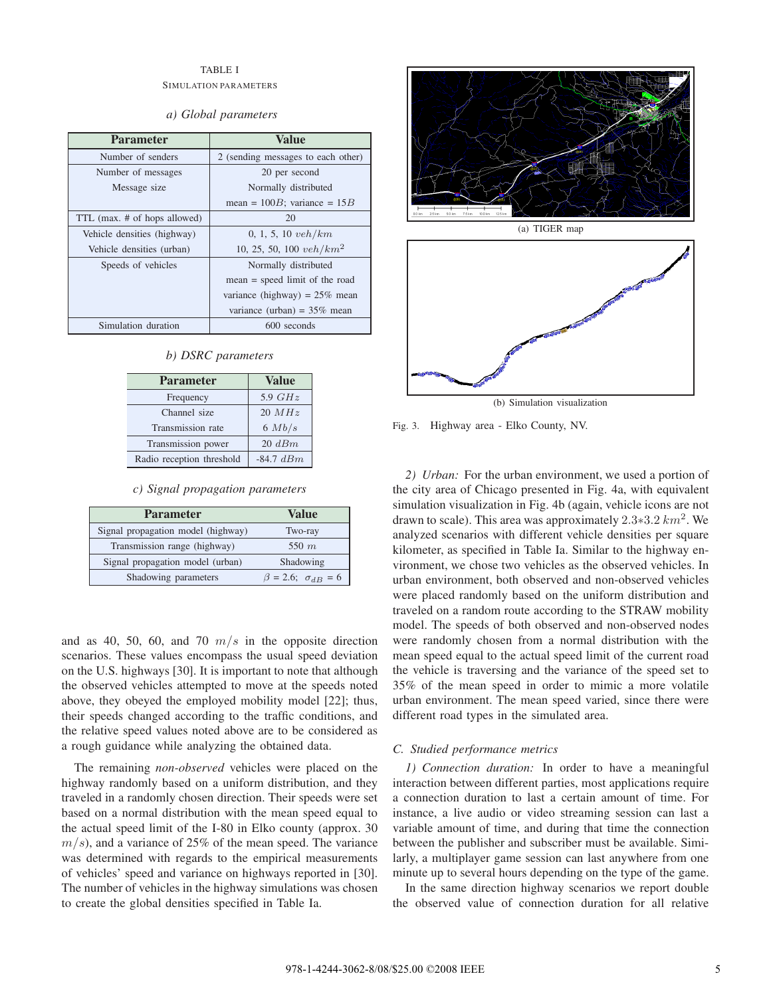## TABLE I SIMULATION PARAMETERS

| <b>Parameter</b>             | Value                              |
|------------------------------|------------------------------------|
| Number of senders            | 2 (sending messages to each other) |
| Number of messages           | 20 per second                      |
| Message size                 | Normally distributed               |
|                              | mean = $100B$ ; variance = $15B$   |
| TTL (max. # of hops allowed) | 20                                 |
| Vehicle densities (highway)  | 0, 1, 5, 10 $veh/km$               |
| Vehicle densities (urban)    | 10, 25, 50, 100 $veh/km^2$         |
| Speeds of vehicles           | Normally distributed               |
|                              | $mean = speed$ limit of the road   |
|                              | variance (highway) = $25\%$ mean   |
|                              | variance (urban) = $35\%$ mean     |
| Simulation duration          | 600 seconds                        |

*b) DSRC parameters*

| <b>Parameter</b>          | <b>Value</b>     |
|---------------------------|------------------|
| Frequency                 | 5.9 $GHz$        |
| Channel size              | 20 MHz           |
| Transmission rate         | 6 Mb/s           |
| Transmission power        | $20 \text{ dBm}$ |
| Radio reception threshold | $-84.7$ $dBm$    |

*c) Signal propagation parameters*

| <b>Parameter</b>                   | Value                            |
|------------------------------------|----------------------------------|
| Signal propagation model (highway) | Two-ray                          |
| Transmission range (highway)       | 550 $m$                          |
| Signal propagation model (urban)   | Shadowing                        |
| Shadowing parameters               | $\beta = 2.6; \ \sigma_{dB} = 6$ |

and as 40, 50, 60, and 70  $m/s$  in the opposite direction scenarios. These values encompass the usual speed deviation on the U.S. highways [30]. It is important to note that although the observed vehicles attempted to move at the speeds noted above, they obeyed the employed mobility model [22]; thus, their speeds changed according to the traffic conditions, and the relative speed values noted above are to be considered as a rough guidance while analyzing the obtained data.

The remaining *non-observed* vehicles were placed on the highway randomly based on a uniform distribution, and they traveled in a randomly chosen direction. Their speeds were set based on a normal distribution with the mean speed equal to the actual speed limit of the I-80 in Elko county (approx. 30  $m/s$ ), and a variance of 25% of the mean speed. The variance was determined with regards to the empirical measurements of vehicles' speed and variance on highways reported in [30]. The number of vehicles in the highway simulations was chosen to create the global densities specified in Table Ia.



(b) Simulation visualization

Fig. 3. Highway area - Elko County, NV.

*2) Urban:* For the urban environment, we used a portion of the city area of Chicago presented in Fig. 4a, with equivalent simulation visualization in Fig. 4b (again, vehicle icons are not drawn to scale). This area was approximately  $2.3*3.2 \ km^2$ . We analyzed scenarios with different vehicle densities per square kilometer, as specified in Table Ia. Similar to the highway environment, we chose two vehicles as the observed vehicles. In urban environment, both observed and non-observed vehicles were placed randomly based on the uniform distribution and traveled on a random route according to the STRAW mobility model. The speeds of both observed and non-observed nodes were randomly chosen from a normal distribution with the mean speed equal to the actual speed limit of the current road the vehicle is traversing and the variance of the speed set to 35% of the mean speed in order to mimic a more volatile urban environment. The mean speed varied, since there were different road types in the simulated area.

## *C. Studied performance metrics*

*1) Connection duration:* In order to have a meaningful interaction between different parties, most applications require a connection duration to last a certain amount of time. For instance, a live audio or video streaming session can last a variable amount of time, and during that time the connection between the publisher and subscriber must be available. Similarly, a multiplayer game session can last anywhere from one minute up to several hours depending on the type of the game.

In the same direction highway scenarios we report double the observed value of connection duration for all relative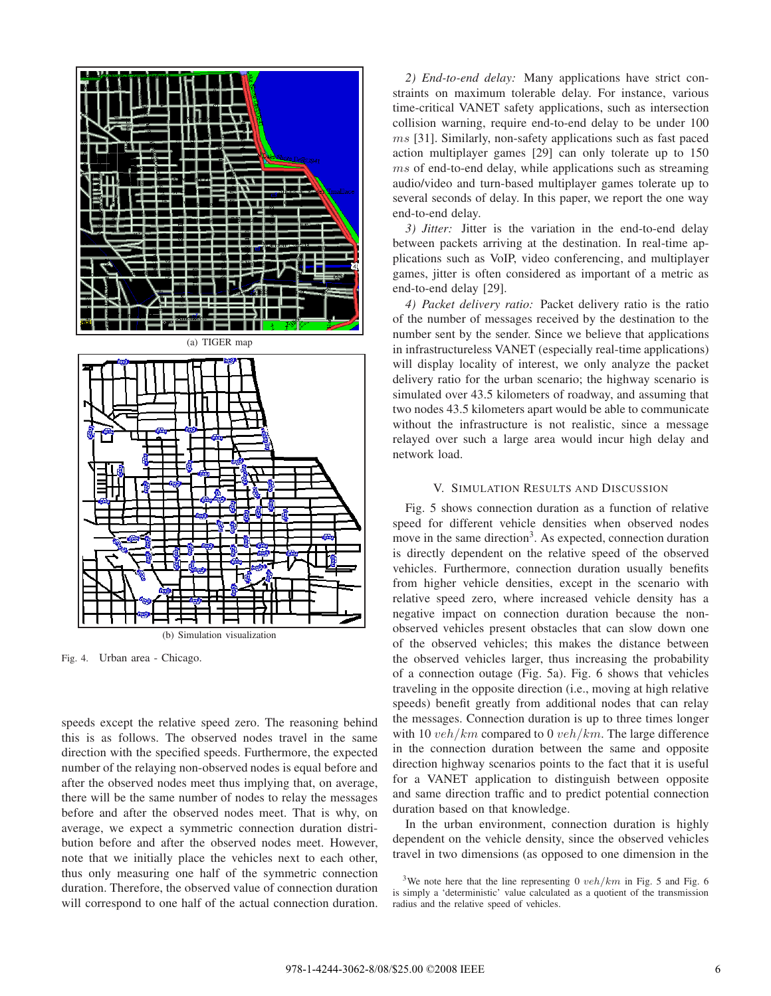

Fig. 4. Urban area - Chicago.

speeds except the relative speed zero. The reasoning behind this is as follows. The observed nodes travel in the same direction with the specified speeds. Furthermore, the expected number of the relaying non-observed nodes is equal before and after the observed nodes meet thus implying that, on average, there will be the same number of nodes to relay the messages before and after the observed nodes meet. That is why, on average, we expect a symmetric connection duration distribution before and after the observed nodes meet. However, note that we initially place the vehicles next to each other, thus only measuring one half of the symmetric connection duration. Therefore, the observed value of connection duration will correspond to one half of the actual connection duration.

*2) End-to-end delay:* Many applications have strict constraints on maximum tolerable delay. For instance, various time-critical VANET safety applications, such as intersection collision warning, require end-to-end delay to be under 100 ms [31]. Similarly, non-safety applications such as fast paced action multiplayer games [29] can only tolerate up to 150 ms of end-to-end delay, while applications such as streaming audio/video and turn-based multiplayer games tolerate up to several seconds of delay. In this paper, we report the one way end-to-end delay.

*3) Jitter:* Jitter is the variation in the end-to-end delay between packets arriving at the destination. In real-time applications such as VoIP, video conferencing, and multiplayer games, jitter is often considered as important of a metric as end-to-end delay [29].

*4) Packet delivery ratio:* Packet delivery ratio is the ratio of the number of messages received by the destination to the number sent by the sender. Since we believe that applications in infrastructureless VANET (especially real-time applications) will display locality of interest, we only analyze the packet delivery ratio for the urban scenario; the highway scenario is simulated over 43.5 kilometers of roadway, and assuming that two nodes 43.5 kilometers apart would be able to communicate without the infrastructure is not realistic, since a message relayed over such a large area would incur high delay and network load.

## V. SIMULATION RESULTS AND DISCUSSION

Fig. 5 shows connection duration as a function of relative speed for different vehicle densities when observed nodes move in the same direction<sup>3</sup>. As expected, connection duration is directly dependent on the relative speed of the observed vehicles. Furthermore, connection duration usually benefits from higher vehicle densities, except in the scenario with relative speed zero, where increased vehicle density has a negative impact on connection duration because the nonobserved vehicles present obstacles that can slow down one of the observed vehicles; this makes the distance between the observed vehicles larger, thus increasing the probability of a connection outage (Fig. 5a). Fig. 6 shows that vehicles traveling in the opposite direction (i.e., moving at high relative speeds) benefit greatly from additional nodes that can relay the messages. Connection duration is up to three times longer with 10  $veh/km$  compared to 0  $veh/km$ . The large difference in the connection duration between the same and opposite direction highway scenarios points to the fact that it is useful for a VANET application to distinguish between opposite and same direction traffic and to predict potential connection duration based on that knowledge.

In the urban environment, connection duration is highly dependent on the vehicle density, since the observed vehicles travel in two dimensions (as opposed to one dimension in the

<sup>3</sup>We note here that the line representing 0  $veh/km$  in Fig. 5 and Fig. 6 is simply a 'deterministic' value calculated as a quotient of the transmission radius and the relative speed of vehicles.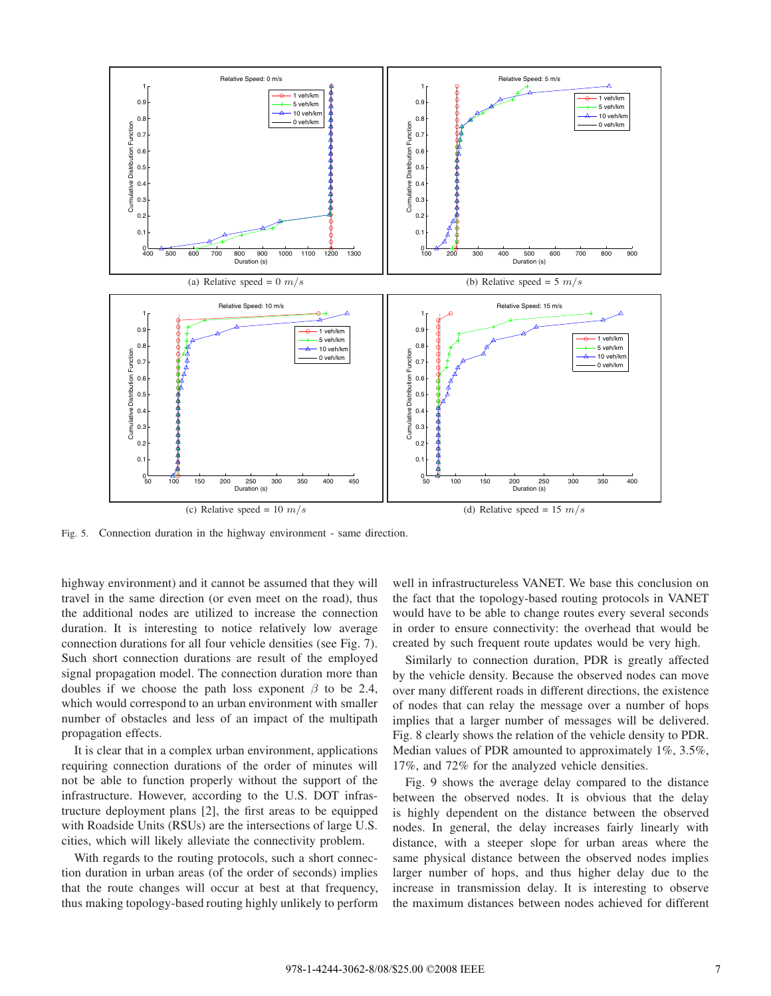

Fig. 5. Connection duration in the highway environment - same direction.

highway environment) and it cannot be assumed that they will travel in the same direction (or even meet on the road), thus the additional nodes are utilized to increase the connection duration. It is interesting to notice relatively low average connection durations for all four vehicle densities (see Fig. 7). Such short connection durations are result of the employed signal propagation model. The connection duration more than doubles if we choose the path loss exponent  $\beta$  to be 2.4, which would correspond to an urban environment with smaller number of obstacles and less of an impact of the multipath propagation effects.

It is clear that in a complex urban environment, applications requiring connection durations of the order of minutes will not be able to function properly without the support of the infrastructure. However, according to the U.S. DOT infrastructure deployment plans [2], the first areas to be equipped with Roadside Units (RSUs) are the intersections of large U.S. cities, which will likely alleviate the connectivity problem.

With regards to the routing protocols, such a short connection duration in urban areas (of the order of seconds) implies that the route changes will occur at best at that frequency, thus making topology-based routing highly unlikely to perform

well in infrastructureless VANET. We base this conclusion on the fact that the topology-based routing protocols in VANET would have to be able to change routes every several seconds in order to ensure connectivity: the overhead that would be created by such frequent route updates would be very high.

Similarly to connection duration, PDR is greatly affected by the vehicle density. Because the observed nodes can move over many different roads in different directions, the existence of nodes that can relay the message over a number of hops implies that a larger number of messages will be delivered. Fig. 8 clearly shows the relation of the vehicle density to PDR. Median values of PDR amounted to approximately 1%, 3.5%, 17%, and 72% for the analyzed vehicle densities.

Fig. 9 shows the average delay compared to the distance between the observed nodes. It is obvious that the delay is highly dependent on the distance between the observed nodes. In general, the delay increases fairly linearly with distance, with a steeper slope for urban areas where the same physical distance between the observed nodes implies larger number of hops, and thus higher delay due to the increase in transmission delay. It is interesting to observe the maximum distances between nodes achieved for different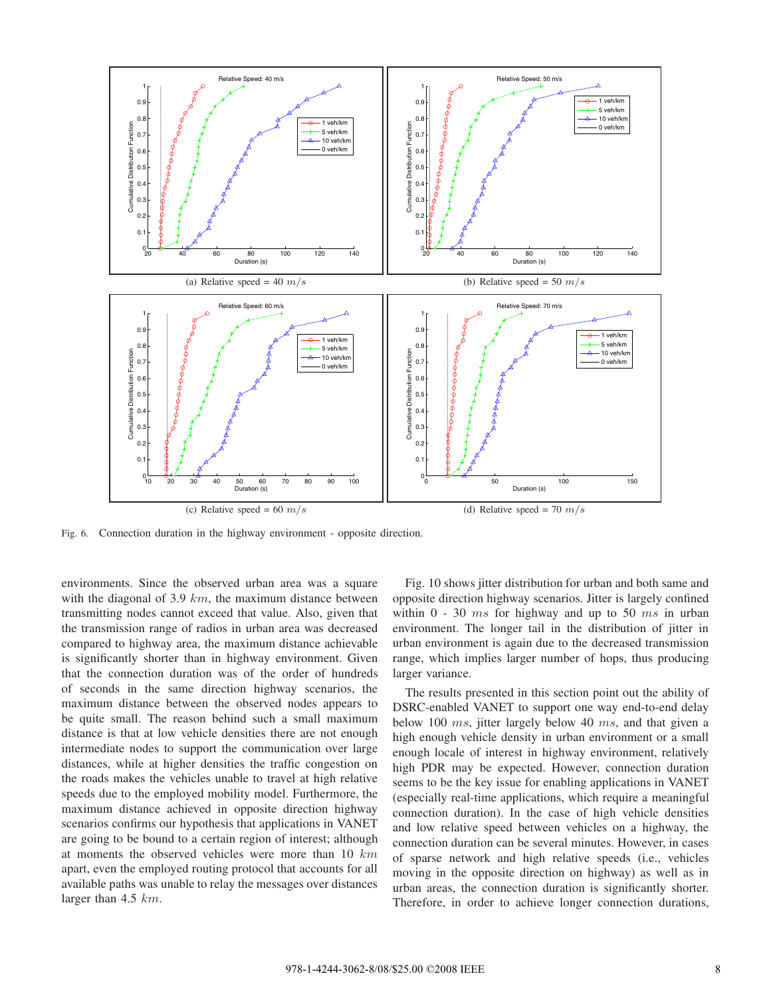

Fig. 6. Connection duration in the highway environment - opposite direction.

environments. Since the observed urban area was a square with the diagonal of 3.9  $km$ , the maximum distance between transmitting nodes cannot exceed that value. Also, given that the transmission range of radios in urban area was decreased compared to highway area, the maximum distance achievable is significantly shorter than in highway environment. Given that the connection duration was of the order of hundreds of seconds in the same direction highway scenarios, the maximum distance between the observed nodes appears to be quite small. The reason behind such a small maximum distance is that at low vehicle densities there are not enough intermediate nodes to support the communication over large distances, while at higher densities the traffic congestion on the roads makes the vehicles unable to travel at high relative speeds due to the employed mobility model. Furthermore, the maximum distance achieved in opposite direction highway scenarios confirms our hypothesis that applications in VANET are going to be bound to a certain region of interest; although at moments the observed vehicles were more than  $10 \; km$ apart, even the employed routing protocol that accounts for all available paths was unable to relay the messages over distances larger than  $4.5$  km.

Fig. 10 shows jitter distribution for urban and both same and opposite direction highway scenarios. Jitter is largely confined within 0 - 30  $ms$  for highway and up to 50  $ms$  in urban environment. The longer tail in the distribution of jitter in urban environment is again due to the decreased transmission range, which implies larger number of hops, thus producing larger variance.

The results presented in this section point out the ability of DSRC-enabled VANET to support one way end-to-end delay below 100 ms, jitter largely below 40 ms, and that given a high enough vehicle density in urban environment or a small enough locale of interest in highway environment, relatively high PDR may be expected. However, connection duration seems to be the key issue for enabling applications in VANET (especially real-time applications, which require a meaningful connection duration). In the case of high vehicle densities and low relative speed between vehicles on a highway, the connection duration can be several minutes. However, in cases of sparse network and high relative speeds (i.e., vehicles moving in the opposite direction on highway) as well as in urban areas, the connection duration is significantly shorter. Therefore, in order to achieve longer connection durations,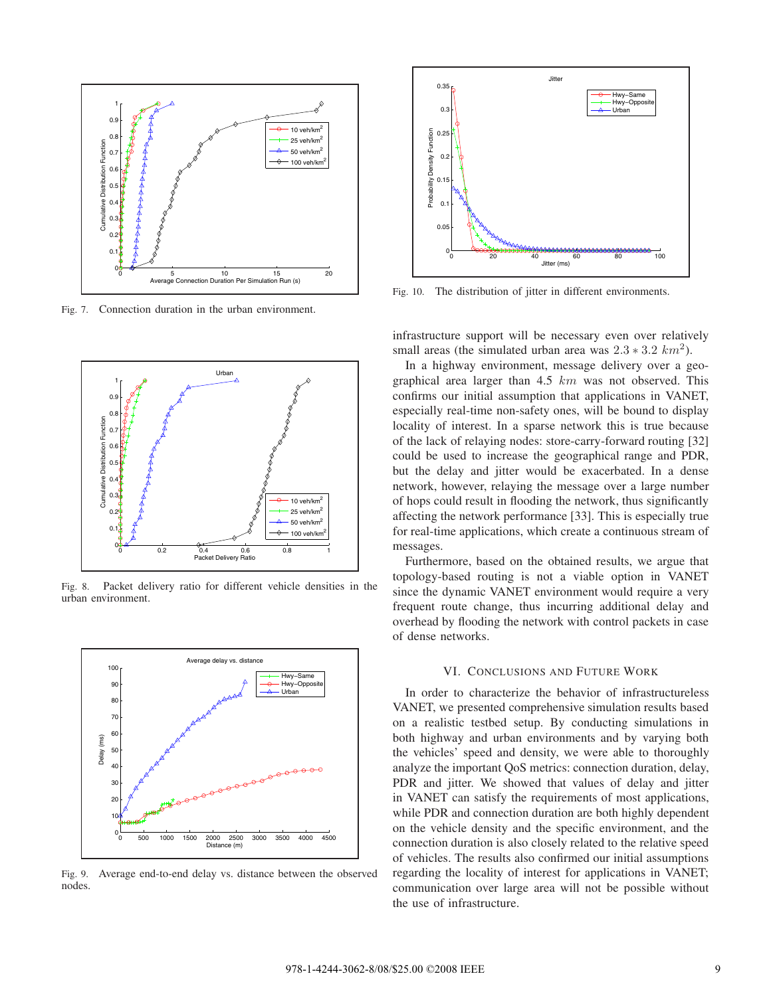

Fig. 7. Connection duration in the urban environment.



Fig. 8. Packet delivery ratio for different vehicle densities in the urban environment.



Fig. 9. Average end-to-end delay vs. distance between the observed nodes.



Fig. 10. The distribution of jitter in different environments.

infrastructure support will be necessary even over relatively small areas (the simulated urban area was  $2.3 * 3.2 \; km^2$ ).

In a highway environment, message delivery over a geographical area larger than 4.5  $km$  was not observed. This confirms our initial assumption that applications in VANET, especially real-time non-safety ones, will be bound to display locality of interest. In a sparse network this is true because of the lack of relaying nodes: store-carry-forward routing [32] could be used to increase the geographical range and PDR, but the delay and jitter would be exacerbated. In a dense network, however, relaying the message over a large number of hops could result in flooding the network, thus significantly affecting the network performance [33]. This is especially true for real-time applications, which create a continuous stream of messages.

Furthermore, based on the obtained results, we argue that topology-based routing is not a viable option in VANET since the dynamic VANET environment would require a very frequent route change, thus incurring additional delay and overhead by flooding the network with control packets in case of dense networks.

## VI. CONCLUSIONS AND FUTURE WORK

In order to characterize the behavior of infrastructureless VANET, we presented comprehensive simulation results based on a realistic testbed setup. By conducting simulations in both highway and urban environments and by varying both the vehicles' speed and density, we were able to thoroughly analyze the important QoS metrics: connection duration, delay, PDR and jitter. We showed that values of delay and jitter in VANET can satisfy the requirements of most applications, while PDR and connection duration are both highly dependent on the vehicle density and the specific environment, and the connection duration is also closely related to the relative speed of vehicles. The results also confirmed our initial assumptions regarding the locality of interest for applications in VANET; communication over large area will not be possible without the use of infrastructure.